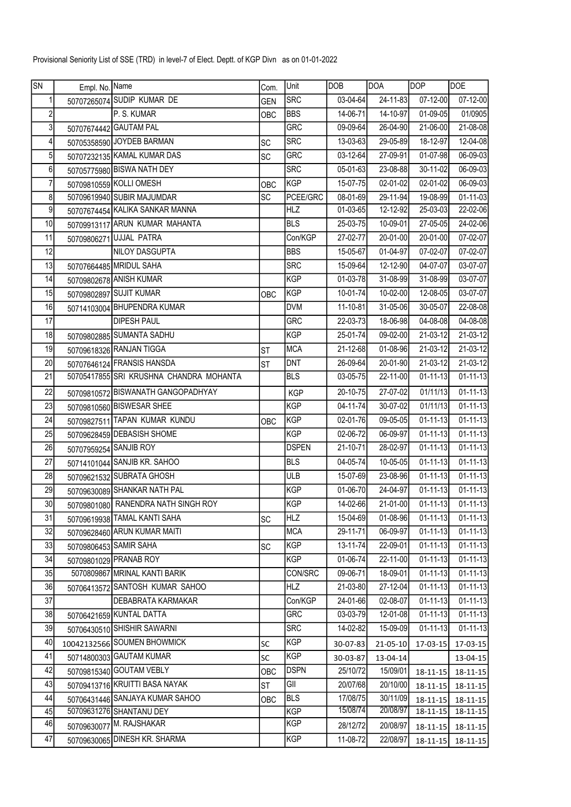Provisional Seniority List of SSE (TRD) in level-7 of Elect. Deptt. of KGP Divn as on 01-01-2022

| SN             | Empl. No. Name |                                         | Com.       | Unit         | <b>DOB</b>     | <b>DOA</b> | <b>DOP</b>            | <b>DOE</b>     |
|----------------|----------------|-----------------------------------------|------------|--------------|----------------|------------|-----------------------|----------------|
| $\mathbf{1}$   |                | 50707265074 SUDIP KUMAR DE              | <b>GEN</b> | <b>SRC</b>   | 03-04-64       | 24-11-83   | 07-12-00              | $07 - 12 - 00$ |
| $\overline{2}$ |                | P. S. KUMAR                             | OBC        | <b>BBS</b>   | 14-06-71       | 14-10-97   | 01-09-05              | 01/0905        |
| $\overline{3}$ |                | 50707674442 GAUTAM PAL                  |            | <b>GRC</b>   | 09-09-64       | 26-04-90   | 21-06-00              | 21-08-08       |
| 4              |                | 50705358590 JOYDEB BARMAN               | SC         | <b>SRC</b>   | 13-03-63       | 29-05-89   | 18-12-97              | 12-04-08       |
| 51             |                | 50707232135 KAMAL KUMAR DAS             | <b>SC</b>  | <b>GRC</b>   | $03 - 12 - 64$ | 27-09-91   | 01-07-98              | 06-09-03       |
| $6 \mid$       |                | 50705775980 BISWA NATH DEY              |            | <b>SRC</b>   | 05-01-63       | 23-08-88   | 30-11-02              | 06-09-03       |
| $\overline{7}$ |                | 50709810559 KOLLI OMESH                 | OBC        | <b>KGP</b>   | 15-07-75       | 02-01-02   | 02-01-02              | 06-09-03       |
| 8              |                | 50709619940 SUBIR MAJUMDAR              | SC         | PCEE/GRC     | 08-01-69       | 29-11-94   | 19-08-99              | $01 - 11 - 03$ |
| $\overline{9}$ |                | 50707674454 KALIKA SANKAR MANNA         |            | <b>HLZ</b>   | $01 - 03 - 65$ | 12-12-92   | 25-03-03              | 22-02-06       |
| 10             |                | 50709913117 ARUN KUMAR MAHANTA          |            | <b>BLS</b>   | 25-03-75       | 10-09-01   | 27-05-05              | 24-02-06       |
| 11             |                | 50709806271 UJJAL PATRA                 |            | Con/KGP      | 27-02-77       | 20-01-00   | 20-01-00              | $07 - 02 - 07$ |
| 12             |                | NILOY DASGUPTA                          |            | <b>BBS</b>   | 15-05-67       | 01-04-97   | 07-02-07              | 07-02-07       |
| 13             |                | 50707664485 MRIDUL SAHA                 |            | <b>SRC</b>   | 15-09-64       | 12-12-90   | 04-07-07              | 03-07-07       |
| 14             |                | 50709802678 ANISH KUMAR                 |            | <b>KGP</b>   | 01-03-78       | 31-08-99   | 31-08-99              | 03-07-07       |
| 15             |                | 50709802897 SUJIT KUMAR                 | OBC        | <b>KGP</b>   | 10-01-74       | 10-02-00   | 12-08-05              | 03-07-07       |
| 16             |                | 50714103004 BHUPENDRA KUMAR             |            | <b>DVM</b>   | $11 - 10 - 81$ | 31-05-06   | 30-05-07              | 22-08-08       |
| 17             |                | <b>DIPESH PAUL</b>                      |            | <b>GRC</b>   | 22-03-73       | 18-06-98   | 04-08-08              | 04-08-08       |
| 18             |                | 50709802885 SUMANTA SADHU               |            | <b>KGP</b>   | 25-01-74       | 09-02-00   | 21-03-12              | 21-03-12       |
| 19             |                | 50709618326 RANJAN TIGGA                | <b>ST</b>  | <b>MCA</b>   | 21-12-68       | 01-08-96   | 21-03-12              | 21-03-12       |
| 20             |                | 50707646124 FRANSIS HANSDA              | ST         | <b>DNT</b>   | 26-09-64       | 20-01-90   | 21-03-12              | 21-03-12       |
| 21             |                | 50705417855 SRI KRUSHNA CHANDRA MOHANTA |            | <b>BLS</b>   | 03-05-75       | 22-11-00   | $01 - 11 - 13$        | $01 - 11 - 13$ |
| 22             |                | 50709810572 BISWANATH GANGOPADHYAY      |            | <b>KGP</b>   | 20-10-75       | 27-07-02   | 01/11/13              | $01 - 11 - 13$ |
| 23             |                | 50709810560 BISWESAR SHEE               |            | <b>KGP</b>   | 04-11-74       | 30-07-02   | 01/11/13              | $01 - 11 - 13$ |
| 24             |                | 50709827511 TAPAN KUMAR KUNDU           | OBC        | <b>KGP</b>   | 02-01-76       | 09-05-05   | $01 - 11 - 13$        | $01 - 11 - 13$ |
| 25             |                | 50709628459 DEBASISH SHOME              |            | <b>KGP</b>   | 02-06-72       | 06-09-97   | $\overline{01-11-13}$ | $01 - 11 - 13$ |
| 26             |                | 50707959254 SANJIB ROY                  |            | <b>DSPEN</b> | 21-10-71       | 28-02-97   | $01 - 11 - 13$        | $01 - 11 - 13$ |
| 27             |                | 50714101044 SANJIB KR. SAHOO            |            | <b>BLS</b>   | 04-05-74       | 10-05-05   | $01 - 11 - 13$        | $01 - 11 - 13$ |
| 28             |                | 50709621532 SUBRATA GHOSH               |            | <b>ULB</b>   | 15-07-69       | 23-08-96   | $01 - 11 - 13$        | $01 - 11 - 13$ |
| 29             |                | 50709630089 SHANKAR NATH PAL            |            | KGP          | $01 - 06 - 70$ | 24-04-97   | $01 - 11 - 13$        | $01 - 11 - 13$ |
| 30             |                | 50709801080 RANENDRA NATH SINGH ROY     |            | <b>KGP</b>   | 14-02-66       | 21-01-00   | $01 - 11 - 13$        | $01 - 11 - 13$ |
| 31             |                | 50709619938 TAMAL KANTI SAHA            | SC         | <b>HLZ</b>   | 15-04-69       | 01-08-96   | $01 - 11 - 13$        | $01 - 11 - 13$ |
| 32             |                | 50709628460 ARUN KUMAR MAITI            |            | <b>MCA</b>   | 29-11-71       | 06-09-97   | $01 - 11 - 13$        | $01 - 11 - 13$ |
| 33             |                | 50709806453 SAMIR SAHA                  | SC         | <b>KGP</b>   | $13 - 11 - 74$ | 22-09-01   | $01 - 11 - 13$        | $01 - 11 - 13$ |
| 34             |                | 50709801029 PRANAB ROY                  |            | <b>KGP</b>   | $01 - 06 - 74$ | 22-11-00   | $01 - 11 - 13$        | $01 - 11 - 13$ |
| 35             |                | 5070809867 MRINAL KANTI BARIK           |            | CON/SRC      | 09-06-71       | 18-09-01   | $01 - 11 - 13$        | $01 - 11 - 13$ |
| 36             |                | 50706413572 SANTOSH KUMAR SAHOO         |            | <b>HLZ</b>   | 21-03-80       | 27-12-04   | $01 - 11 - 13$        | $01 - 11 - 13$ |
| 37             |                | <b>DEBABRATA KARMAKAR</b>               |            | Con/KGP      | 24-01-66       | 02-08-07   | $01 - 11 - 13$        | $01 - 11 - 13$ |
| 38             |                | 50706421659 KUNTAL DATTA                |            | <b>GRC</b>   | 03-03-79       | 12-01-08   | $01 - 11 - 13$        | $01 - 11 - 13$ |
| 39             |                | 50706430510 SHISHIR SAWARNI             |            | <b>SRC</b>   | 14-02-82       | 15-09-09   | $01 - 11 - 13$        | $01 - 11 - 13$ |
| 40             |                | 10042132566 SOUMEN BHOWMICK             | SC         | <b>KGP</b>   | 30-07-83       | 21-05-10   | 17-03-15              | $17-03-15$     |
| 41             |                | 50714800303 GAUTAM KUMAR                | SC         | <b>KGP</b>   | 30-03-87       | 13-04-14   |                       | $13 - 04 - 15$ |
| 42             |                | 50709815340 GOUTAM VEBLY                | OBC        | <b>DSPN</b>  | 25/10/72       | 15/09/01   | 18-11-15              | $18 - 11 - 15$ |
| 43             |                | 50709413716 KRUITTI BASA NAYAK          | <b>ST</b>  | GII          | 20/07/68       | 20/10/00   | 18-11-15              | $18 - 11 - 15$ |
| 44             |                | 50706431446 SANJAYA KUMAR SAHOO         | OBC        | <b>BLS</b>   | 17/08/75       | 30/11/09   | 18-11-15              | $18 - 11 - 15$ |
| 45             |                | 50709631276 SHANTANU DEY                |            | <b>KGP</b>   | 15/08/74       | 20/08/97   | 18-11-15              | $18 - 11 - 15$ |
| 46             | 50709630077    | M. RAJSHAKAR                            |            | <b>KGP</b>   | 28/12/72       | 20/08/97   | $18 - 11 - 15$        | $18 - 11 - 15$ |
| 47             |                | 50709630065 DINESH KR. SHARMA           |            | <b>KGP</b>   | 11-08-72       | 22/08/97   | 18-11-15              | $18 - 11 - 15$ |